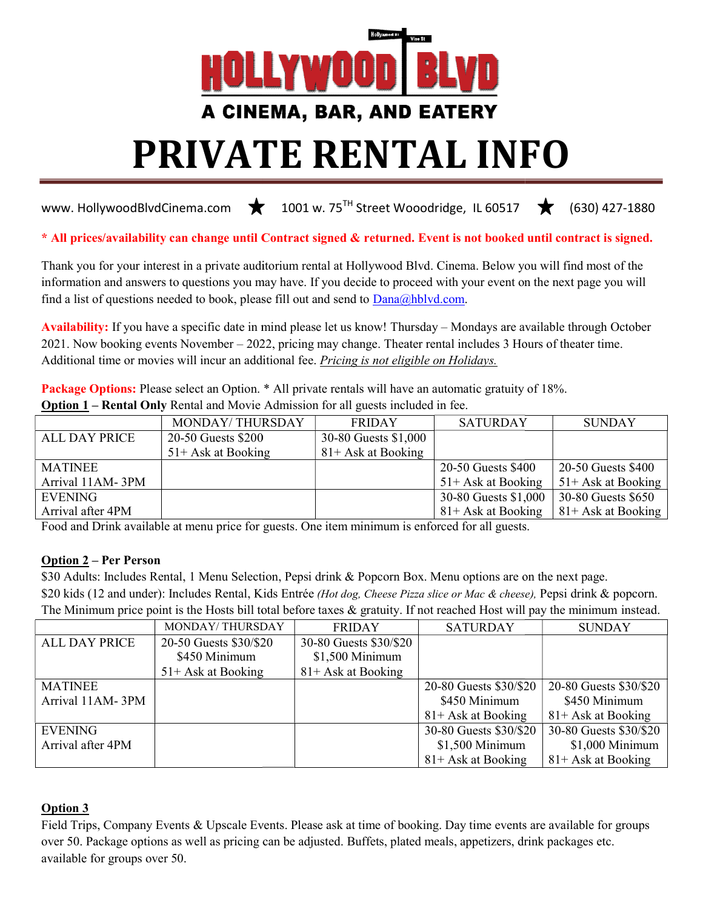

### A CINEMA, BAR, AND EATERY

# PRIVATE PRIVATE RENTAL INFO

www. HollywoodBlvdCinema.com  $\bigstar$  1001 w. 75<sup>TH</sup> Street Wooodridge, IL 60517  $\star$  (630) 427-1880

\* All prices/availability can change until Contract signed & returned. Event is not booked until contract is signed.

Thank you for your interest in a private auditorium rental at Hollywood Blvd. Cinema. Below you will find most of the information and answers to questions you may have. If you decide to proceed with your event on the next page you will find a list of questions needed to book, please fill out and send to  $Dana@hblvd.com$ . or your interest in a private auditorium rental at Hollywood Blvd. Cinema. Below you will find most of and answers to questions you may have. If you decide to proceed with your event on the next page you questions needed t

Availability: If you have a specific date in mind please let us know! Thursday – Mondays are available through October 2021. Now booking events November – 2022, pricing may change. Theater rental includes 3 Hours of theater time. Additional time or movies will incur an additional fee. *Pricing is not eligible on Holidays*.

Package Options: Please select an Option. \* All private rentals will have an automatic gratuity of 18%. **Option 1** – **Rental Only** Rental and Movie Admission for all guests included in fee.

|                   | <b>MONDAY/THURSDAY</b> | <b>FRIDAY</b>         | <b>SATURDAY</b>       | <b>SUNDAY</b>         |
|-------------------|------------------------|-----------------------|-----------------------|-----------------------|
| ALL DAY PRICE     | 20-50 Guests \$200     | 30-80 Guests \$1,000  |                       |                       |
|                   | $51+$ Ask at Booking   | $81 +$ Ask at Booking |                       |                       |
| <b>MATINEE</b>    |                        |                       | 20-50 Guests \$400    | 20-50 Guests \$400    |
| Arrival 11AM-3PM  |                        |                       | $51 +$ Ask at Booking | $51 +$ Ask at Booking |
| EVENING           |                        |                       | 30-80 Guests \$1,000  | 30-80 Guests \$650    |
| Arrival after 4PM |                        |                       | $81 +$ Ask at Booking | $81 +$ Ask at Booking |

Food and Drink available at menu price for guests. One item minimum is enforced for all guests.

#### Option 2 – Per Person

\$30 Adults: Includes Rental, 1 Menu Selection, Pepsi drink & Popcorn Box. Menu options are on the next page. \$20 kids (12 and under): Includes Rental, Kids Entrée (Hot dog, Cheese Pizza slice or Mac & cheese), Pepsi drink & popcorn. The Minimum price point is the Hosts bill total before taxes  $\&$  gratuity. If not reached Host will pay the minimum instead.

|                      | MONDAY/THURSDAY        | <b>FRIDAY</b>          | <b>SATURDAY</b>        | <b>SUNDAY</b>          |
|----------------------|------------------------|------------------------|------------------------|------------------------|
| <b>ALL DAY PRICE</b> | 20-50 Guests \$30/\$20 | 30-80 Guests \$30/\$20 |                        |                        |
|                      | \$450 Minimum          | \$1,500 Minimum        |                        |                        |
|                      | $51 +$ Ask at Booking  | $81 +$ Ask at Booking  |                        |                        |
| <b>MATINEE</b>       |                        |                        | 20-80 Guests \$30/\$20 | 20-80 Guests \$30/\$20 |
| Arrival 11AM-3PM     |                        |                        | \$450 Minimum          | \$450 Minimum          |
|                      |                        |                        | $81 +$ Ask at Booking  | $81 +$ Ask at Booking  |
| <b>EVENING</b>       |                        |                        | 30-80 Guests \$30/\$20 | 30-80 Guests \$30/\$20 |
| Arrival after 4PM    |                        |                        | \$1,500 Minimum        | \$1,000 Minimum        |
|                      |                        |                        | $81 +$ Ask at Booking  | $81 +$ Ask at Booking  |

#### Option 3

Field Trips, Company Events & Upscale Events. Please ask at time of booking. Day time events are available for groups over 50. Package options as well as pricing can be adjusted. Buffets, plated meals, appetizers, drink packages etc. available for groups over 50.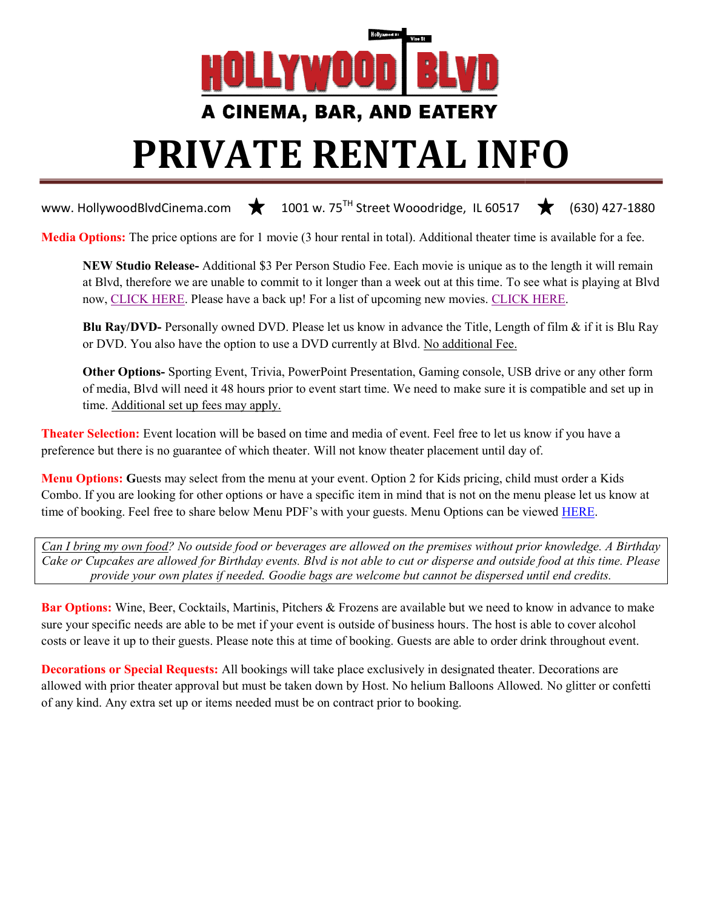

# PRIVATE PRIVATE RENTAL INFO

www. HollywoodBlvdCinema.com  $\bigstar$  1001 w. 75<sup>TH</sup> Street Wooodridge, IL 60517

Media Options: The price options are for 1 movie (3 hour rental in total). Additional theater time is available for a fee.

NEW Studio Release- Additional \$3 Per Person Studio Fee. Each movie is unique as to the length it will remain at Blvd, therefore we are unable to commit to it longer than a week out at this time. To see what is playing at Blvd<br>now, CLICK HERE. Please have a back up! For a list of upcoming new movies. CLICK HERE. now, CLICK HERE. Please have a back up! For a list of upcoming new movies. CLICK HERE. 1001 w. 75<sup>11</sup> Street Wooodridge, IL 60517 **(630) 427-1880**<br>
vie (3 hour rental in total). Additional theater time is available for a fee.<br>
r Person Studio Fee. Each movie is unique as to the length it will remain<br>
int to

Blu Ray/DVD- Personally owned DVD. Please let us know in advance the Title, Length of film & if it is Blu Ray or DVD. You also have the option to use a DVD currently at Blvd. No additional Fee.

Other Options- Sporting Event, Trivia, PowerPoint Presentation, Gaming console, USB drive or any other form of media, Blvd will need it 48 hours prior to event start time. We need to make sure it is compatible and set up in time. Additional set up fees may apply. . Please let us know in advance the Title, Length of film & if it is Blu Ray e a DVD currently at Blvd. <u>No additional Fee.</u><br>PowerPoint Presentation, Gaming console, USB drive or any other form or to event start time. We

**Theater Selection:** Event location will be based on time and media of event. Feel free to let us know if you have a **Theater Selection:** Event location will be based on time and media of event. Feel free to let us know if preference but there is no guarantee of which theater. Will not know theater placement until day of.

Menu Options: Guests may select from the menu at your event. Option 2 for Kids pricing, child must order a Kids Combo. If you are looking for other options or have a specific item in mind that is not on the menu please let us know at time of booking. Feel free to share below Menu PDF's with your guests. Menu Options can be viewed **HERE**.

Can I bring my own food? No outside food or beverages are allowed on the premises without prior knowledge. A Birthday Can I bring my own food? No outside food or beverages are allowed on the premises without prior knowledge. A Birthday<br>Cake or Cupcakes are allowed for Birthday events. Blvd is not able to cut or disperse and outside food a provide your own plates if needed. Goodie bags are welcome but cannot be dispersed until end credits.

Bar Options: Wine, Beer, Cocktails, Martinis, Pitchers & Frozens are available but we need to know in advance to make Bar Options: Wine, Beer, Cocktails, Martinis, Pitchers & Frozens are available but we need to know in advance to ma<br>sure your specific needs are able to be met if your event is outside of business hours. The host is able t costs or leave it up to their guests. Please note this at time of booking. Guests are able to order drink throughout event.

Decorations or Special Requests: All bookings will take place exclusively in designated theater. Decorations are allowed with prior theater approval but must be taken down by Host. No helium Balloons Allowed. No glitter or confetti of any kind. Any extra set up or items needed must be on contract prior to booking.